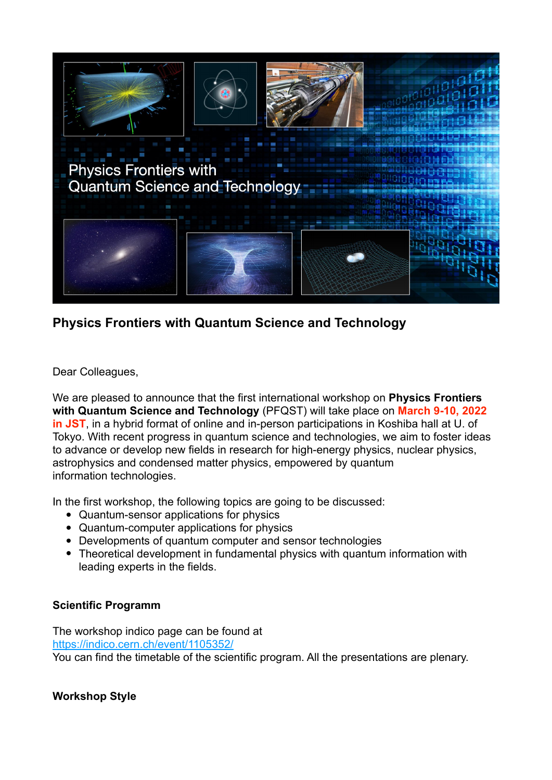

# **Physics Frontiers with Quantum Science and Technology**

Dear Colleagues,

We are pleased to announce that the first international workshop on **Physics Frontiers with Quantum Science and Technology** (PFQST) will take place on **March 9-10, 2022 in JST**, in a hybrid format of online and in-person participations in Koshiba hall at U. of Tokyo. With recent progress in quantum science and technologies, we aim to foster ideas to advance or develop new fields in research for high-energy physics, nuclear physics, astrophysics and condensed matter physics, empowered by quantum information technologies.

In the first workshop, the following topics are going to be discussed:

- Quantum-sensor applications for physics
- Quantum-computer applications for physics
- Developments of quantum computer and sensor technologies
- Theoretical development in fundamental physics with quantum information with leading experts in the fields.

# **Scientific Programm**

The workshop indico page can be found at <https://indico.cern.ch/event/1105352/> You can find the timetable of the scientific program. All the presentations are plenary.

# **Workshop Style**